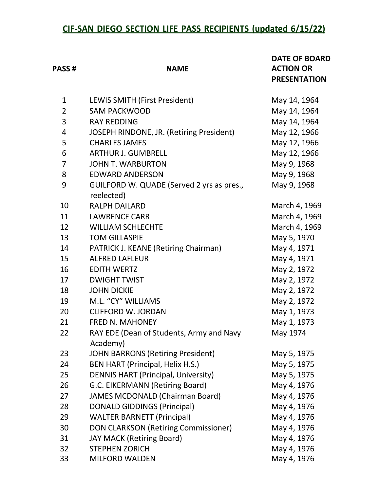## **CIF-SAN DIEGO SECTION LIFE PASS RECIPIENTS (updated 6/15/22)**

| <b>PASS#</b>   | <b>NAME</b>                                             | <b>DATE OF BOARD</b><br><b>ACTION OR</b><br><b>PRESENTATION</b> |
|----------------|---------------------------------------------------------|-----------------------------------------------------------------|
| $\mathbf{1}$   | LEWIS SMITH (First President)                           | May 14, 1964                                                    |
| $\overline{2}$ | <b>SAM PACKWOOD</b>                                     | May 14, 1964                                                    |
| 3              | <b>RAY REDDING</b>                                      | May 14, 1964                                                    |
| 4              | JOSEPH RINDONE, JR. (Retiring President)                | May 12, 1966                                                    |
| 5              | <b>CHARLES JAMES</b>                                    | May 12, 1966                                                    |
| 6              | <b>ARTHUR J. GUMBRELL</b>                               | May 12, 1966                                                    |
| $\overline{7}$ | <b>JOHN T. WARBURTON</b>                                | May 9, 1968                                                     |
| 8              | <b>EDWARD ANDERSON</b>                                  | May 9, 1968                                                     |
| 9              | GUILFORD W. QUADE (Served 2 yrs as pres.,<br>reelected) | May 9, 1968                                                     |
| 10             | <b>RALPH DAILARD</b>                                    | March 4, 1969                                                   |
| 11             | <b>LAWRENCE CARR</b>                                    | March 4, 1969                                                   |
| 12             | <b>WILLIAM SCHLECHTE</b>                                | March 4, 1969                                                   |
| 13             | <b>TOM GILLASPIE</b>                                    | May 5, 1970                                                     |
| 14             | <b>PATRICK J. KEANE (Retiring Chairman)</b>             | May 4, 1971                                                     |
| 15             | <b>ALFRED LAFLEUR</b>                                   | May 4, 1971                                                     |
| 16             | <b>EDITH WERTZ</b>                                      | May 2, 1972                                                     |
| 17             | <b>DWIGHT TWIST</b>                                     | May 2, 1972                                                     |
| 18             | <b>JOHN DICKIE</b>                                      | May 2, 1972                                                     |
| 19             | M.L. "CY" WILLIAMS                                      | May 2, 1972                                                     |
| 20             | <b>CLIFFORD W. JORDAN</b>                               | May 1, 1973                                                     |
| 21             | <b>FRED N. MAHONEY</b>                                  | May 1, 1973                                                     |
| 22             | RAY EDE (Dean of Students, Army and Navy<br>Academy)    | May 1974                                                        |
| 23             | <b>JOHN BARRONS (Retiring President)</b>                | May 5, 1975                                                     |
| 24             | <b>BEN HART (Principal, Helix H.S.)</b>                 | May 5, 1975                                                     |
| 25             | <b>DENNIS HART (Principal, University)</b>              | May 5, 1975                                                     |
| 26             | G.C. EIKERMANN (Retiring Board)                         | May 4, 1976                                                     |
| 27             | <b>JAMES MCDONALD (Chairman Board)</b>                  | May 4, 1976                                                     |
| 28             | <b>DONALD GIDDINGS (Principal)</b>                      | May 4, 1976                                                     |
| 29             | <b>WALTER BARNETT (Principal)</b>                       | May 4, 1976                                                     |
| 30             | DON CLARKSON (Retiring Commissioner)                    | May 4, 1976                                                     |
| 31             | <b>JAY MACK (Retiring Board)</b>                        | May 4, 1976                                                     |
| 32             | <b>STEPHEN ZORICH</b>                                   | May 4, 1976                                                     |
| 33             | MILFORD WALDEN                                          | May 4, 1976                                                     |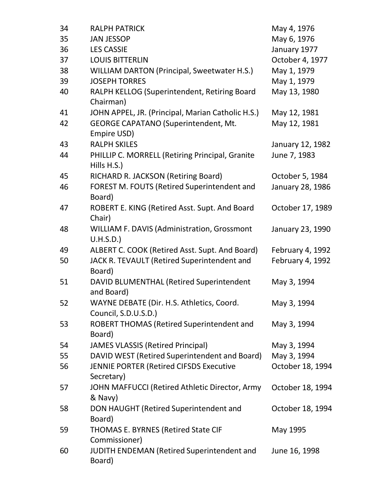| 34 | <b>RALPH PATRICK</b>                                              | May 4, 1976      |
|----|-------------------------------------------------------------------|------------------|
| 35 | <b>JAN JESSOP</b>                                                 | May 6, 1976      |
| 36 | <b>LES CASSIE</b>                                                 | January 1977     |
| 37 | <b>LOUIS BITTERLIN</b>                                            | October 4, 1977  |
| 38 | <b>WILLIAM DARTON (Principal, Sweetwater H.S.)</b>                | May 1, 1979      |
| 39 | <b>JOSEPH TORRES</b>                                              | May 1, 1979      |
| 40 | RALPH KELLOG (Superintendent, Retiring Board<br>Chairman)         | May 13, 1980     |
| 41 | JOHN APPEL, JR. (Principal, Marian Catholic H.S.)                 | May 12, 1981     |
| 42 | <b>GEORGE CAPATANO (Superintendent, Mt.</b><br>Empire USD)        | May 12, 1981     |
| 43 | <b>RALPH SKILES</b>                                               | January 12, 1982 |
| 44 | PHILLIP C. MORRELL (Retiring Principal, Granite<br>Hills H.S.)    | June 7, 1983     |
| 45 | RICHARD R. JACKSON (Retiring Board)                               | October 5, 1984  |
| 46 | FOREST M. FOUTS (Retired Superintendent and<br>Board)             | January 28, 1986 |
| 47 | ROBERT E. KING (Retired Asst. Supt. And Board<br>Chair)           | October 17, 1989 |
| 48 | <b>WILLIAM F. DAVIS (Administration, Grossmont</b><br>U.H.S.D.    | January 23, 1990 |
| 49 | ALBERT C. COOK (Retired Asst. Supt. And Board)                    | February 4, 1992 |
| 50 | JACK R. TEVAULT (Retired Superintendent and<br>Board)             | February 4, 1992 |
| 51 | DAVID BLUMENTHAL (Retired Superintendent<br>and Board)            | May 3, 1994      |
| 52 | WAYNE DEBATE (Dir. H.S. Athletics, Coord.<br>Council, S.D.U.S.D.) | May 3, 1994      |
| 53 | ROBERT THOMAS (Retired Superintendent and<br>Board)               | May 3, 1994      |
| 54 | <b>JAMES VLASSIS (Retired Principal)</b>                          | May 3, 1994      |
| 55 | DAVID WEST (Retired Superintendent and Board)                     | May 3, 1994      |
| 56 | JENNIE PORTER (Retired CIFSDS Executive<br>Secretary)             | October 18, 1994 |
| 57 | JOHN MAFFUCCI (Retired Athletic Director, Army<br>& Navy)         | October 18, 1994 |
| 58 | DON HAUGHT (Retired Superintendent and<br>Board)                  | October 18, 1994 |
| 59 | <b>THOMAS E. BYRNES (Retired State CIF</b><br>Commissioner)       | May 1995         |
| 60 | JUDITH ENDEMAN (Retired Superintendent and<br>Board)              | June 16, 1998    |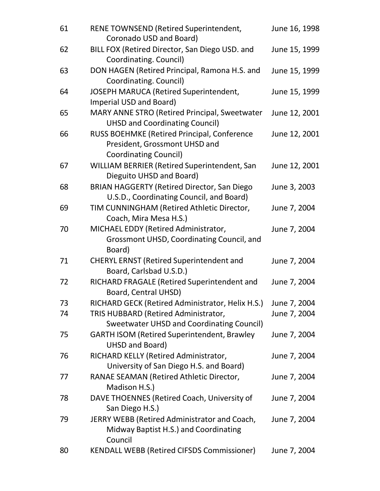| 61 | RENE TOWNSEND (Retired Superintendent,<br>Coronado USD and Board)                                            | June 16, 1998 |
|----|--------------------------------------------------------------------------------------------------------------|---------------|
| 62 | BILL FOX (Retired Director, San Diego USD. and<br>Coordinating. Council)                                     | June 15, 1999 |
| 63 | DON HAGEN (Retired Principal, Ramona H.S. and<br>Coordinating. Council)                                      | June 15, 1999 |
| 64 | JOSEPH MARUCA (Retired Superintendent,<br>Imperial USD and Board)                                            | June 15, 1999 |
| 65 | MARY ANNE STRO (Retired Principal, Sweetwater<br><b>UHSD and Coordinating Council)</b>                       | June 12, 2001 |
| 66 | RUSS BOEHMKE (Retired Principal, Conference<br>President, Grossmont UHSD and<br><b>Coordinating Council)</b> | June 12, 2001 |
| 67 | WILLIAM BERRIER (Retired Superintendent, San<br>Dieguito UHSD and Board)                                     | June 12, 2001 |
| 68 | <b>BRIAN HAGGERTY (Retired Director, San Diego</b><br>U.S.D., Coordinating Council, and Board)               | June 3, 2003  |
| 69 | TIM CUNNINGHAM (Retired Athletic Director,<br>Coach, Mira Mesa H.S.)                                         | June 7, 2004  |
| 70 | MICHAEL EDDY (Retired Administrator,<br>Grossmont UHSD, Coordinating Council, and<br>Board)                  | June 7, 2004  |
| 71 | <b>CHERYL ERNST (Retired Superintendent and</b><br>Board, Carlsbad U.S.D.)                                   | June 7, 2004  |
| 72 | RICHARD FRAGALE (Retired Superintendent and<br>Board, Central UHSD)                                          | June 7, 2004  |
| 73 | RICHARD GECK (Retired Administrator, Helix H.S.)                                                             | June 7, 2004  |
| 74 | TRIS HUBBARD (Retired Administrator,<br><b>Sweetwater UHSD and Coordinating Council)</b>                     | June 7, 2004  |
| 75 | <b>GARTH ISOM (Retired Superintendent, Brawley</b><br>UHSD and Board)                                        | June 7, 2004  |
| 76 | RICHARD KELLY (Retired Administrator,<br>University of San Diego H.S. and Board)                             | June 7, 2004  |
| 77 | RANAE SEAMAN (Retired Athletic Director,<br>Madison H.S.)                                                    | June 7, 2004  |
| 78 | DAVE THOENNES (Retired Coach, University of<br>San Diego H.S.)                                               | June 7, 2004  |
| 79 | JERRY WEBB (Retired Administrator and Coach,<br>Midway Baptist H.S.) and Coordinating<br>Council             | June 7, 2004  |
| 80 | <b>KENDALL WEBB (Retired CIFSDS Commissioner)</b>                                                            | June 7, 2004  |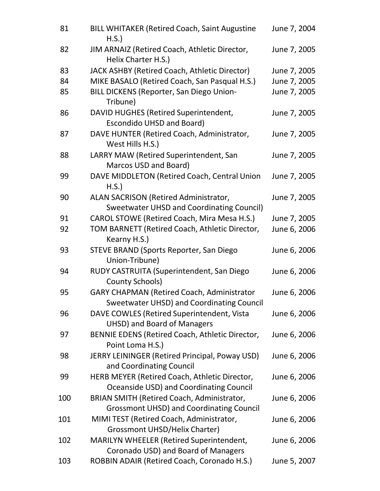| 81  | <b>BILL WHITAKER (Retired Coach, Saint Augustine</b><br>H.S.                                   | June 7, 2004 |
|-----|------------------------------------------------------------------------------------------------|--------------|
| 82  | JIM ARNAIZ (Retired Coach, Athletic Director,<br>Helix Charter H.S.)                           | June 7, 2005 |
| 83  | JACK ASHBY (Retired Coach, Athletic Director)                                                  | June 7, 2005 |
| 84  | MIKE BASALO (Retired Coach, San Pasqual H.S.)                                                  | June 7, 2005 |
| 85  | BILL DICKENS (Reporter, San Diego Union-<br>Tribune)                                           | June 7, 2005 |
| 86  | DAVID HUGHES (Retired Superintendent,<br><b>Escondido UHSD and Board)</b>                      | June 7, 2005 |
| 87  | DAVE HUNTER (Retired Coach, Administrator,<br>West Hills H.S.)                                 | June 7, 2005 |
| 88  | LARRY MAW (Retired Superintendent, San<br>Marcos USD and Board)                                | June 7, 2005 |
| 99  | DAVE MIDDLETON (Retired Coach, Central Union<br>H.S.                                           | June 7, 2005 |
| 90  | ALAN SACRISON (Retired Administrator,                                                          | June 7, 2005 |
|     | <b>Sweetwater UHSD and Coordinating Council)</b>                                               |              |
| 91  | CAROL STOWE (Retired Coach, Mira Mesa H.S.)                                                    | June 7, 2005 |
| 92  | TOM BARNETT (Retired Coach, Athletic Director,<br>Kearny H.S.)                                 | June 6, 2006 |
| 93  | STEVE BRAND (Sports Reporter, San Diego<br>Union-Tribune)                                      | June 6, 2006 |
| 94  | RUDY CASTRUITA (Superintendent, San Diego<br><b>County Schools)</b>                            | June 6, 2006 |
| 95  | <b>GARY CHAPMAN (Retired Coach, Administrator</b><br>Sweetwater UHSD) and Coordinating Council | June 6, 2006 |
| 96  | DAVE COWLES (Retired Superintendent, Vista<br><b>UHSD) and Board of Managers</b>               | June 6, 2006 |
| 97  | BENNIE EDENS (Retired Coach, Athletic Director,<br>Point Loma H.S.)                            | June 6, 2006 |
| 98  | JERRY LEININGER (Retired Principal, Poway USD)<br>and Coordinating Council                     | June 6, 2006 |
| 99  | HERB MEYER (Retired Coach, Athletic Director,<br>Oceanside USD) and Coordinating Council       | June 6, 2006 |
| 100 | BRIAN SMITH (Retired Coach, Administrator,<br><b>Grossmont UHSD) and Coordinating Council</b>  | June 6, 2006 |
| 101 | MIMI TEST (Retired Coach, Administrator,<br>Grossmont UHSD/Helix Charter)                      | June 6, 2006 |
| 102 | MARILYN WHEELER (Retired Superintendent,<br>Coronado USD) and Board of Managers                | June 6, 2006 |
| 103 | ROBBIN ADAIR (Retired Coach, Coronado H.S.)                                                    | June 5, 2007 |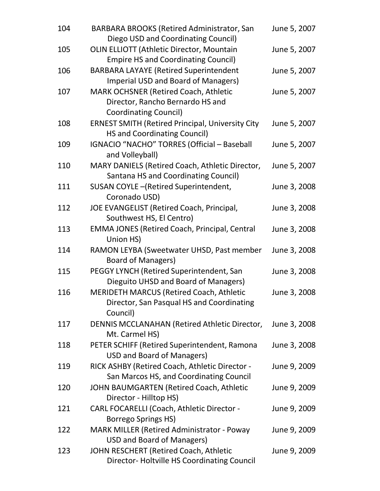| 104 | <b>BARBARA BROOKS (Retired Administrator, San</b><br>Diego USD and Coordinating Council)                 | June 5, 2007 |
|-----|----------------------------------------------------------------------------------------------------------|--------------|
| 105 | <b>OLIN ELLIOTT (Athletic Director, Mountain</b><br><b>Empire HS and Coordinating Council)</b>           | June 5, 2007 |
| 106 | <b>BARBARA LAYAYE (Retired Superintendent</b><br><b>Imperial USD and Board of Managers)</b>              | June 5, 2007 |
| 107 | MARK OCHSNER (Retired Coach, Athletic<br>Director, Rancho Bernardo HS and<br>Coordinating Council)       | June 5, 2007 |
| 108 | <b>ERNEST SMITH (Retired Principal, University City</b><br><b>HS and Coordinating Council)</b>           | June 5, 2007 |
| 109 | IGNACIO "NACHO" TORRES (Official - Baseball<br>and Volleyball)                                           | June 5, 2007 |
| 110 | MARY DANIELS (Retired Coach, Athletic Director,<br>Santana HS and Coordinating Council)                  | June 5, 2007 |
| 111 | SUSAN COYLE-(Retired Superintendent,<br>Coronado USD)                                                    | June 3, 2008 |
| 112 | JOE EVANGELIST (Retired Coach, Principal,<br>Southwest HS, El Centro)                                    | June 3, 2008 |
| 113 | <b>EMMA JONES (Retired Coach, Principal, Central</b><br>Union HS)                                        | June 3, 2008 |
| 114 | RAMON LEYBA (Sweetwater UHSD, Past member<br><b>Board of Managers)</b>                                   | June 3, 2008 |
| 115 | PEGGY LYNCH (Retired Superintendent, San<br>Dieguito UHSD and Board of Managers)                         | June 3, 2008 |
| 116 | <b>MERIDETH MARCUS (Retired Coach, Athletic</b><br>Director, San Pasqual HS and Coordinating<br>Council) | June 3, 2008 |
| 117 | DENNIS MCCLANAHAN (Retired Athletic Director,<br>Mt. Carmel HS)                                          | June 3, 2008 |
| 118 | PETER SCHIFF (Retired Superintendent, Ramona<br>USD and Board of Managers)                               | June 3, 2008 |
| 119 | RICK ASHBY (Retired Coach, Athletic Director -<br>San Marcos HS, and Coordinating Council                | June 9, 2009 |
| 120 | JOHN BAUMGARTEN (Retired Coach, Athletic<br>Director - Hilltop HS)                                       | June 9, 2009 |
| 121 | CARL FOCARELLI (Coach, Athletic Director -<br><b>Borrego Springs HS)</b>                                 | June 9, 2009 |
| 122 | <b>MARK MILLER (Retired Administrator - Poway</b><br><b>USD and Board of Managers)</b>                   | June 9, 2009 |
| 123 | JOHN RESCHERT (Retired Coach, Athletic<br>Director-Holtville HS Coordinating Council                     | June 9, 2009 |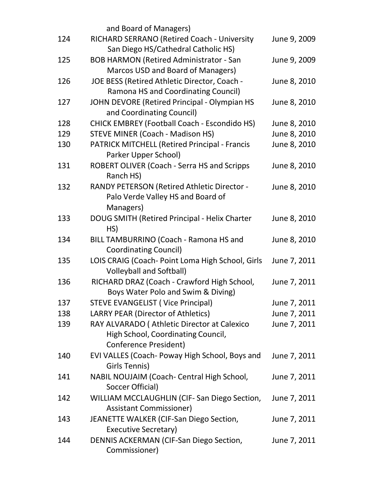|     | and Board of Managers)                                                       |              |
|-----|------------------------------------------------------------------------------|--------------|
| 124 | RICHARD SERRANO (Retired Coach - University                                  | June 9, 2009 |
|     | San Diego HS/Cathedral Catholic HS)                                          |              |
| 125 | <b>BOB HARMON (Retired Administrator - San</b>                               | June 9, 2009 |
|     | Marcos USD and Board of Managers)                                            |              |
| 126 | JOE BESS (Retired Athletic Director, Coach -                                 | June 8, 2010 |
|     | Ramona HS and Coordinating Council)                                          |              |
| 127 | JOHN DEVORE (Retired Principal - Olympian HS                                 | June 8, 2010 |
|     | and Coordinating Council)                                                    |              |
| 128 | <b>CHICK EMBREY (Football Coach - Escondido HS)</b>                          | June 8, 2010 |
| 129 | <b>STEVE MINER (Coach - Madison HS)</b>                                      | June 8, 2010 |
| 130 | <b>PATRICK MITCHELL (Retired Principal - Francis</b><br>Parker Upper School) | June 8, 2010 |
| 131 | ROBERT OLIVER (Coach - Serra HS and Scripps                                  | June 8, 2010 |
|     | Ranch HS)                                                                    |              |
| 132 | <b>RANDY PETERSON (Retired Athletic Director -</b>                           | June 8, 2010 |
|     | Palo Verde Valley HS and Board of                                            |              |
|     | Managers)                                                                    |              |
| 133 | <b>DOUG SMITH (Retired Principal - Helix Charter</b>                         | June 8, 2010 |
|     | HS)                                                                          |              |
| 134 | BILL TAMBURRINO (Coach - Ramona HS and                                       | June 8, 2010 |
|     | Coordinating Council)                                                        |              |
| 135 | LOIS CRAIG (Coach- Point Loma High School, Girls                             | June 7, 2011 |
|     | <b>Volleyball and Softball)</b>                                              |              |
| 136 | RICHARD DRAZ (Coach - Crawford High School,                                  | June 7, 2011 |
|     | Boys Water Polo and Swim & Diving)                                           |              |
| 137 | <b>STEVE EVANGELIST (Vice Principal)</b>                                     | June 7, 2011 |
| 138 | LARRY PEAR (Director of Athletics)                                           | June 7, 2011 |
| 139 | RAY ALVARADO (Athletic Director at Calexico                                  | June 7, 2011 |
|     | High School, Coordinating Council,                                           |              |
|     | Conference President)                                                        |              |
| 140 | EVI VALLES (Coach- Poway High School, Boys and                               | June 7, 2011 |
|     | Girls Tennis)                                                                |              |
| 141 | NABIL NOUJAIM (Coach- Central High School,                                   | June 7, 2011 |
|     | Soccer Official)                                                             |              |
| 142 | WILLIAM MCCLAUGHLIN (CIF-San Diego Section,                                  | June 7, 2011 |
|     | <b>Assistant Commissioner)</b>                                               |              |
| 143 | JEANETTE WALKER (CIF-San Diego Section,                                      | June 7, 2011 |
|     | <b>Executive Secretary)</b>                                                  |              |
| 144 | DENNIS ACKERMAN (CIF-San Diego Section,<br>Commissioner)                     | June 7, 2011 |
|     |                                                                              |              |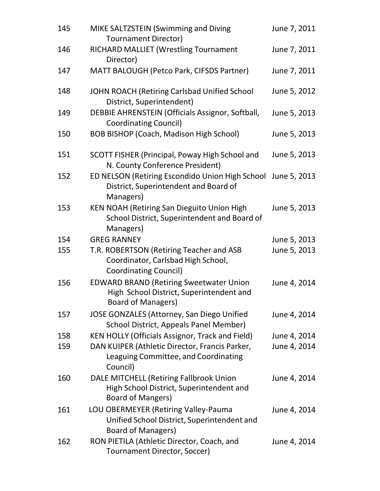| 145 | MIKE SALTZSTEIN (Swimming and Diving<br><b>Tournament Director)</b>                                                     | June 7, 2011 |
|-----|-------------------------------------------------------------------------------------------------------------------------|--------------|
| 146 | <b>RICHARD MALLIET (Wrestling Tournament</b><br>Director)                                                               | June 7, 2011 |
| 147 | MATT BALOUGH (Petco Park, CIFSDS Partner)                                                                               | June 7, 2011 |
| 148 | JOHN ROACH (Retiring Carlsbad Unified School<br>District, Superintendent)                                               | June 5, 2012 |
| 149 | DEBBIE AHRENSTEIN (Officials Assignor, Softball,<br><b>Coordinating Council)</b>                                        | June 5, 2013 |
| 150 | <b>BOB BISHOP (Coach, Madison High School)</b>                                                                          | June 5, 2013 |
| 151 | SCOTT FISHER (Principal, Poway High School and<br>N. County Conference President)                                       | June 5, 2013 |
| 152 | ED NELSON (Retiring Escondido Union High School<br>District, Superintendent and Board of<br>Managers)                   | June 5, 2013 |
| 153 | KEN NOAH (Retiring San Dieguito Union High<br>School District, Superintendent and Board of<br>Managers)                 | June 5, 2013 |
| 154 | <b>GREG RANNEY</b>                                                                                                      | June 5, 2013 |
| 155 | T.R. ROBERTSON (Retiring Teacher and ASB<br>Coordinator, Carlsbad High School,<br><b>Coordinating Council)</b>          | June 5, 2013 |
| 156 | <b>EDWARD BRAND (Retiring Sweetwater Union</b><br>High School District, Superintendent and<br><b>Board of Managers)</b> | June 4, 2014 |
| 157 | <b>JOSE GONZALES (Attorney, San Diego Unified</b><br>School District, Appeals Panel Member)                             | June 4, 2014 |
| 158 | <b>KEN HOLLY (Officials Assignor, Track and Field)</b>                                                                  | June 4, 2014 |
| 159 | DAN KUIPER (Athletic Director, Francis Parker,<br>Leaguing Committee, and Coordinating<br>Council)                      | June 4, 2014 |
| 160 | DALE MITCHELL (Retiring Fallbrook Union<br>High School District, Superintendent and<br><b>Board of Mangers)</b>         | June 4, 2014 |
| 161 | LOU OBERMEYER (Retiring Valley-Pauma<br>Unified School District, Superintendent and<br><b>Board of Managers)</b>        | June 4, 2014 |
| 162 | RON PIETILA (Athletic Director, Coach, and<br>Tournament Director, Soccer)                                              | June 4, 2014 |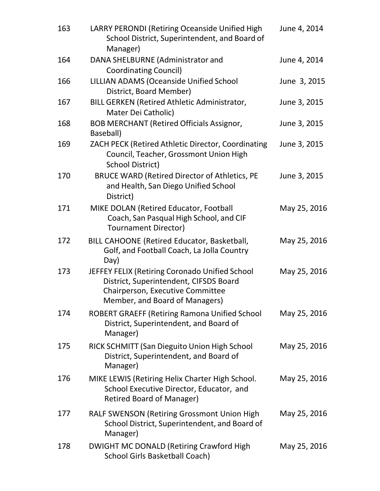| 163 | LARRY PERONDI (Retiring Oceanside Unified High<br>School District, Superintendent, and Board of<br>Manager)                                                    | June 4, 2014 |
|-----|----------------------------------------------------------------------------------------------------------------------------------------------------------------|--------------|
| 164 | DANA SHELBURNE (Administrator and<br><b>Coordinating Council)</b>                                                                                              | June 4, 2014 |
| 166 | <b>LILLIAN ADAMS (Oceanside Unified School</b><br>District, Board Member)                                                                                      | June 3, 2015 |
| 167 | <b>BILL GERKEN (Retired Athletic Administrator,</b><br>Mater Dei Catholic)                                                                                     | June 3, 2015 |
| 168 | <b>BOB MERCHANT (Retired Officials Assignor,</b><br>Baseball)                                                                                                  | June 3, 2015 |
| 169 | ZACH PECK (Retired Athletic Director, Coordinating<br>Council, Teacher, Grossmont Union High<br><b>School District)</b>                                        | June 3, 2015 |
| 170 | <b>BRUCE WARD (Retired Director of Athletics, PE</b><br>and Health, San Diego Unified School<br>District)                                                      | June 3, 2015 |
| 171 | MIKE DOLAN (Retired Educator, Football<br>Coach, San Pasqual High School, and CIF<br><b>Tournament Director)</b>                                               | May 25, 2016 |
| 172 | BILL CAHOONE (Retired Educator, Basketball,<br>Golf, and Football Coach, La Jolla Country<br>Day)                                                              | May 25, 2016 |
| 173 | JEFFEY FELIX (Retiring Coronado Unified School<br>District, Superintendent, CIFSDS Board<br>Chairperson, Executive Committee<br>Member, and Board of Managers) | May 25, 2016 |
| 174 | <b>ROBERT GRAEFF (Retiring Ramona Unified School</b><br>District, Superintendent, and Board of<br>Manager)                                                     | May 25, 2016 |
| 175 | RICK SCHMITT (San Dieguito Union High School<br>District, Superintendent, and Board of<br>Manager)                                                             | May 25, 2016 |
| 176 | MIKE LEWIS (Retiring Helix Charter High School.<br>School Executive Director, Educator, and<br><b>Retired Board of Manager)</b>                                | May 25, 2016 |
| 177 | <b>RALF SWENSON (Retiring Grossmont Union High)</b><br>School District, Superintendent, and Board of<br>Manager)                                               | May 25, 2016 |
| 178 | DWIGHT MC DONALD (Retiring Crawford High<br>School Girls Basketball Coach)                                                                                     | May 25, 2016 |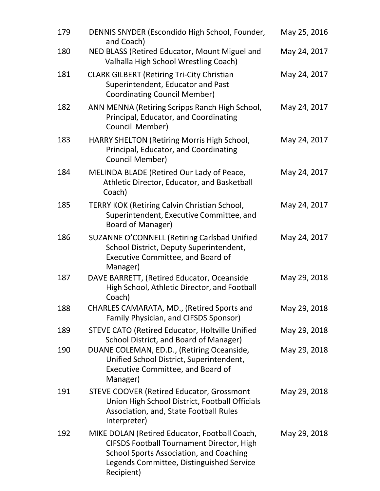| 179 | DENNIS SNYDER (Escondido High School, Founder,<br>and Coach)                                                                                                                                                  | May 25, 2016 |
|-----|---------------------------------------------------------------------------------------------------------------------------------------------------------------------------------------------------------------|--------------|
| 180 | NED BLASS (Retired Educator, Mount Miguel and<br>Valhalla High School Wrestling Coach)                                                                                                                        | May 24, 2017 |
| 181 | <b>CLARK GILBERT (Retiring Tri-City Christian</b><br>Superintendent, Educator and Past<br><b>Coordinating Council Member)</b>                                                                                 | May 24, 2017 |
| 182 | ANN MENNA (Retiring Scripps Ranch High School,<br>Principal, Educator, and Coordinating<br>Council Member)                                                                                                    | May 24, 2017 |
| 183 | HARRY SHELTON (Retiring Morris High School,<br>Principal, Educator, and Coordinating<br>Council Member)                                                                                                       | May 24, 2017 |
| 184 | MELINDA BLADE (Retired Our Lady of Peace,<br>Athletic Director, Educator, and Basketball<br>Coach)                                                                                                            | May 24, 2017 |
| 185 | <b>TERRY KOK (Retiring Calvin Christian School,</b><br>Superintendent, Executive Committee, and<br>Board of Manager)                                                                                          | May 24, 2017 |
| 186 | SUZANNE O'CONNELL (Retiring Carlsbad Unified<br>School District, Deputy Superintendent,<br>Executive Committee, and Board of<br>Manager)                                                                      | May 24, 2017 |
| 187 | DAVE BARRETT, (Retired Educator, Oceanside<br>High School, Athletic Director, and Football<br>Coach)                                                                                                          | May 29, 2018 |
| 188 | CHARLES CAMARATA, MD., (Retired Sports and<br>Family Physician, and CIFSDS Sponsor)                                                                                                                           | May 29, 2018 |
| 189 | <b>STEVE CATO (Retired Educator, Holtville Unified</b><br>School District, and Board of Manager)                                                                                                              | May 29, 2018 |
| 190 | DUANE COLEMAN, ED.D., (Retiring Oceanside,<br>Unified School District, Superintendent,<br><b>Executive Committee, and Board of</b><br>Manager)                                                                | May 29, 2018 |
| 191 | <b>STEVE COOVER (Retired Educator, Grossmont</b><br>Union High School District, Football Officials<br>Association, and, State Football Rules<br>Interpreter)                                                  | May 29, 2018 |
| 192 | MIKE DOLAN (Retired Educator, Football Coach,<br><b>CIFSDS Football Tournament Director, High</b><br><b>School Sports Association, and Coaching</b><br>Legends Committee, Distinguished Service<br>Recipient) | May 29, 2018 |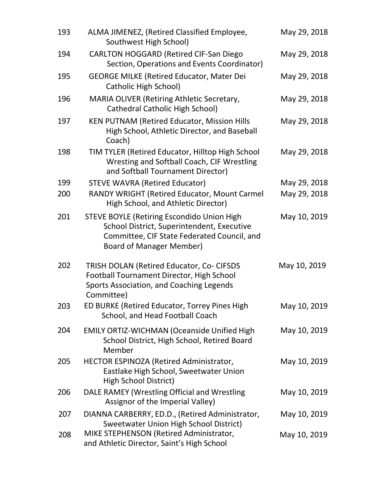| 193 | ALMA JIMENEZ, (Retired Classified Employee,<br>Southwest High School)                                                                                                             | May 29, 2018 |
|-----|-----------------------------------------------------------------------------------------------------------------------------------------------------------------------------------|--------------|
| 194 | <b>CARLTON HOGGARD (Retired CIF-San Diego</b><br>Section, Operations and Events Coordinator)                                                                                      | May 29, 2018 |
| 195 | <b>GEORGE MILKE (Retired Educator, Mater Dei</b><br>Catholic High School)                                                                                                         | May 29, 2018 |
| 196 | <b>MARIA OLIVER (Retiring Athletic Secretary,</b><br><b>Cathedral Catholic High School)</b>                                                                                       | May 29, 2018 |
| 197 | <b>KEN PUTNAM (Retired Educator, Mission Hills</b><br>High School, Athletic Director, and Baseball<br>Coach)                                                                      | May 29, 2018 |
| 198 | TIM TYLER (Retired Educator, Hilltop High School<br>Wresting and Softball Coach, CIF Wrestling<br>and Softball Tournament Director)                                               | May 29, 2018 |
| 199 | <b>STEVE WAVRA (Retired Educator)</b>                                                                                                                                             | May 29, 2018 |
| 200 | RANDY WRIGHT (Retired Educator, Mount Carmel<br>High School, and Athletic Director)                                                                                               | May 29, 2018 |
| 201 | <b>STEVE BOYLE (Retiring Escondido Union High</b><br>School District, Superintendent, Executive<br>Committee, CIF State Federated Council, and<br><b>Board of Manager Member)</b> | May 10, 2019 |
| 202 | TRISH DOLAN (Retired Educator, Co- CIFSDS<br>Football Tournament Director, High School<br>Sports Association, and Coaching Legends<br>Committee)                                  | May 10, 2019 |
| 203 | ED BURKE (Retired Educator, Torrey Pines High<br>School, and Head Football Coach                                                                                                  | May 10, 2019 |
| 204 | <b>EMILY ORTIZ-WICHMAN (Oceanside Unified High</b><br>School District, High School, Retired Board<br>Member                                                                       | May 10, 2019 |
| 205 | HECTOR ESPINOZA (Retired Administrator,<br>Eastlake High School, Sweetwater Union<br>High School District)                                                                        | May 10, 2019 |
| 206 | DALE RAMEY (Wrestling Official and Wrestling<br>Assignor of the Imperial Valley)                                                                                                  | May 10, 2019 |
| 207 | DIANNA CARBERRY, ED.D., (Retired Administrator,<br><b>Sweetwater Union High School District)</b>                                                                                  | May 10, 2019 |
| 208 | MIKE STEPHENSON (Retired Administrator,<br>and Athletic Director, Saint's High School                                                                                             | May 10, 2019 |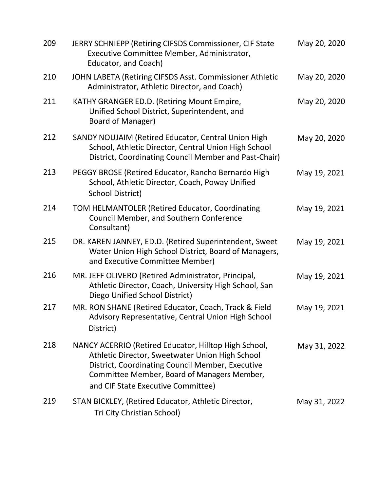| 209 | JERRY SCHNIEPP (Retiring CIFSDS Commissioner, CIF State<br>Executive Committee Member, Administrator,<br>Educator, and Coach)                                                                                                                     | May 20, 2020 |
|-----|---------------------------------------------------------------------------------------------------------------------------------------------------------------------------------------------------------------------------------------------------|--------------|
| 210 | JOHN LABETA (Retiring CIFSDS Asst. Commissioner Athletic<br>Administrator, Athletic Director, and Coach)                                                                                                                                          | May 20, 2020 |
| 211 | KATHY GRANGER ED.D. (Retiring Mount Empire,<br>Unified School District, Superintendent, and<br>Board of Manager)                                                                                                                                  | May 20, 2020 |
| 212 | SANDY NOUJAIM (Retired Educator, Central Union High<br>School, Athletic Director, Central Union High School<br>District, Coordinating Council Member and Past-Chair)                                                                              | May 20, 2020 |
| 213 | PEGGY BROSE (Retired Educator, Rancho Bernardo High<br>School, Athletic Director, Coach, Poway Unified<br><b>School District)</b>                                                                                                                 | May 19, 2021 |
| 214 | TOM HELMANTOLER (Retired Educator, Coordinating<br>Council Member, and Southern Conference<br>Consultant)                                                                                                                                         | May 19, 2021 |
| 215 | DR. KAREN JANNEY, ED.D. (Retired Superintendent, Sweet<br>Water Union High School District, Board of Managers,<br>and Executive Committee Member)                                                                                                 | May 19, 2021 |
| 216 | MR. JEFF OLIVERO (Retired Administrator, Principal,<br>Athletic Director, Coach, University High School, San<br>Diego Unified School District)                                                                                                    | May 19, 2021 |
| 217 | MR. RON SHANE (Retired Educator, Coach, Track & Field<br>Advisory Representative, Central Union High School<br>District)                                                                                                                          | May 19, 2021 |
| 218 | NANCY ACERRIO (Retired Educator, Hilltop High School,<br>Athletic Director, Sweetwater Union High School<br>District, Coordinating Council Member, Executive<br>Committee Member, Board of Managers Member,<br>and CIF State Executive Committee) | May 31, 2022 |
| 219 | STAN BICKLEY, (Retired Educator, Athletic Director,<br>Tri City Christian School)                                                                                                                                                                 | May 31, 2022 |